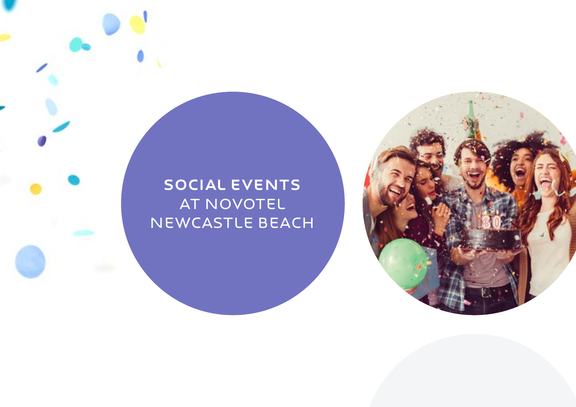# SOCIAL EVENTS AT NOVOTEL NEWCASTLE BEACH

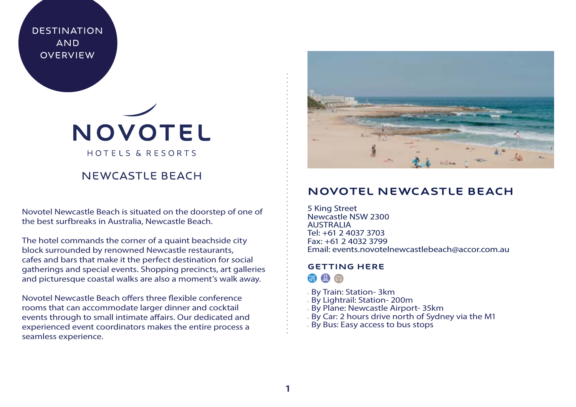**DESTINATION AND OVERVIEW** 

# NOVOTEL HOTELS & RESORTS

# NEWCASTLE BEACH

Novotel Newcastle Beach is situated on the doorstep of one of the best surfbreaks in Australia, Newcastle Beach.

The hotel commands the corner of a quaint beachside city block surrounded by renowned Newcastle restaurants, cafes and bars that make it the perfect destination for social gatherings and special events. Shopping precincts, art galleries and picturesque coastal walks are also a moment's walk away.

Novotel Newcastle Beach offers three flexible conference rooms that can accommodate larger dinner and cocktail events through to small intimate affairs. Our dedicated and experienced event coordinators makes the entire process a seamless experience.



# Novotel NEWCASTLE BEACH

5 King Street Newcastle NSW 2300 AUSTRALIA Tel: +61 2 4037 3703 Fax: +61 2 4032 3799 Email: events.novotelnewcastlebeach@accor.com.au

# GETTING HERE

 $\Box$ 

- By Train: Station- 3km
- By Lightrail: Station- 200m
- By Plane: Newcastle Airport- 35km
- By Car: 2 hours drive north of Sydney via the M1
- By Bus: Easy access to bus stops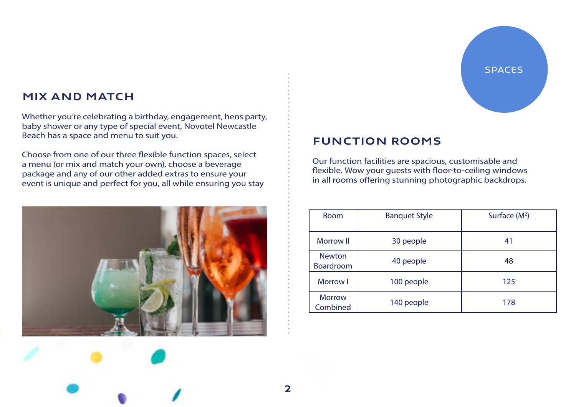# Mix and Match

Whether you're celebrating a birthday, engagement, hens party, baby shower or any type of special event, Novotel Newcastle Beach has a space and menu to suit you.

Choose from one of our three flexible function spaces, select a menu (or mix and match your own), choose a beverage package and any of our other added extras to ensure your event is unique and perfect for you, all while ensuring you stay



# **SPACES**

# function rooms

Our function facilities are spacious, customisable and flexible. Wow your guests with floor-to-ceiling windows in all rooms offering stunning photographic backdrops.

| Room                       | <b>Banquet Style</b> | Surface $(M^2)$ |
|----------------------------|----------------------|-----------------|
| <b>Morrow II</b>           | 30 people            | 41              |
| <b>Newton</b><br>Boardroom | 40 people            | 48              |
| Morrow I                   | 100 people           | 125             |
| <b>Morrow</b><br>Combined  | 140 people           | 178             |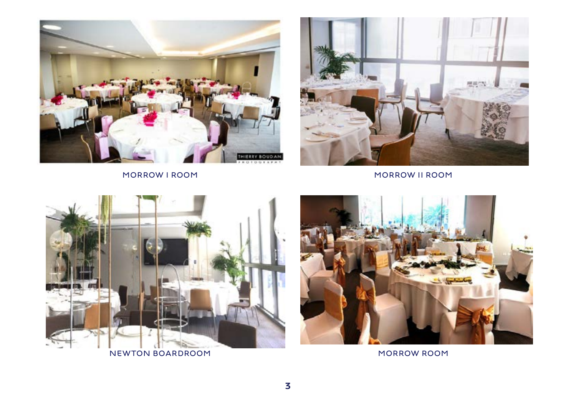



MORROW I ROOM NORROW II ROOM



NEWTON BOARDROOM MORROW ROOM

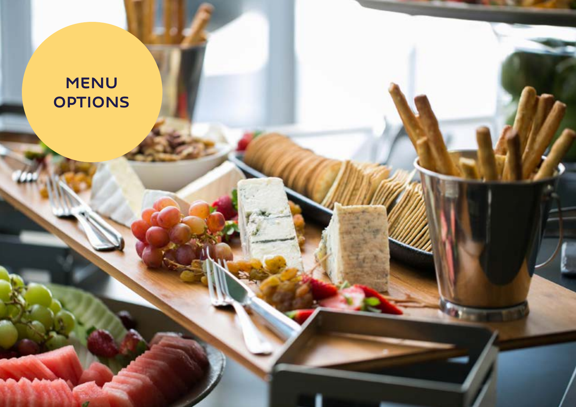# MENU **OPTIONS**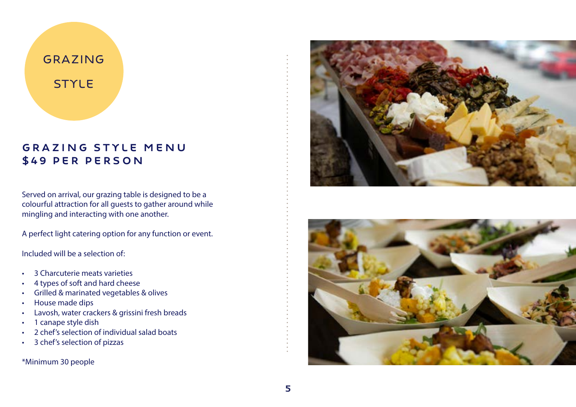# Grazing **STYLE**

# Grazing style menu \$49 per person

Served on arrival, our grazing table is designed to be a colourful attraction for all guests to gather around while mingling and interacting with one another.

A perfect light catering option for any function or event.

Included will be a selection of:

- 3 Charcuterie meats varieties
- 4 types of soft and hard cheese
- Grilled & marinated vegetables & olives
- House made dips
- Lavosh, water crackers & grissini fresh breads
- 1 canape style dish
- 2 chef's selection of individual salad boats
- 3 chef's selection of pizzas

\*Minimum 30 people



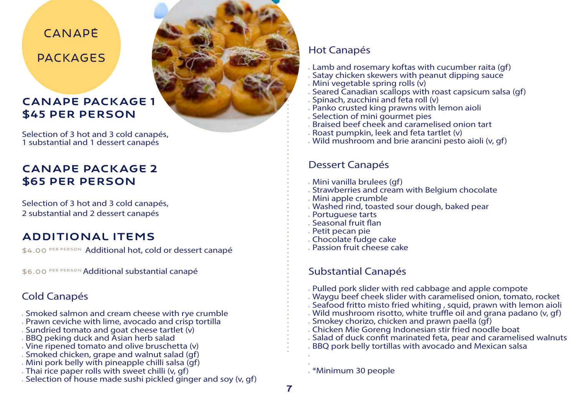# CANADÉ

packages

# canape package 1 \$45 per person

Selection of 3 hot and 3 cold canapés, 1 substantial and 1 dessert canapés

# canape package 2 \$65 per person

Selection of 3 hot and 3 cold canapés, 2 substantial and 2 dessert canapés

# Additional Items

\$4.00 PER PERSON Additional hot, cold or dessert canapé

\$6.00 PER PERSON Additional substantial canapé

# Cold Canapés

- Smoked salmon and cream cheese with rye crumble
- Prawn ceviche with lime, avocado and crisp tortilla
- Sundried tomato and goat cheese tartlet (v)
- BBQ peking duck and Asian herb salad
- Vine ripened tomato and olive bruschetta (v)
- Smoked chicken, grape and walnut salad (gf)
- Mini pork belly with pineapple chilli salsa (gf)
- Thai rice paper rolls with sweet chilli (v, gf)
- Selection of house made sushi pickled ginger and soy (v, gf)



- Lamb and rosemary koftas with cucumber raita (gf)
- Satay chicken skewers with peanut dipping sauce
- Mini vegetable spring rolls (v)
- Seared Canadian scallops with roast capsicum salsa (gf)
- $\cdot$  Spinach, zucchini and feta roll (v)
- Panko crusted king prawns with lemon aioli
- Selection of mini gourmet pies
- Braised beef cheek and caramelised onion tart
- Roast pumpkin, leek and feta tartlet (v)
- Wild mushroom and brie arancini pesto aioli (v, gf)

# Dessert Canapés

- Mini vanilla brulees (gf)
- Strawberries and cream with Belgium chocolate
- Mini apple crumble
- Washed rind, toasted sour dough, baked pear
- Portuguese tarts
- Seasonal fruit flan
- Petit pecan pie
- Chocolate fudge cake
- Passion fruit cheese cake

# Substantial Canapés

- Pulled pork slider with red cabbage and apple compote
- Waygu beef cheek slider with caramelised onion, tomato, rocket
- Seafood fritto misto fried whiting , squid, prawn with lemon aioli
- Wild mushroom risotto, white truffle oil and grana padano (v, gf)
- Smokey chorizo, chicken and prawn paella (gf)
- Chicken Mie Goreng Indonesian stir fried noodle boat
- Salad of duck confit marinated feta, pear and caramelised walnuts
- BBQ pork belly tortillas with avocado and Mexican salsa

• \*Minimum 30 people

• •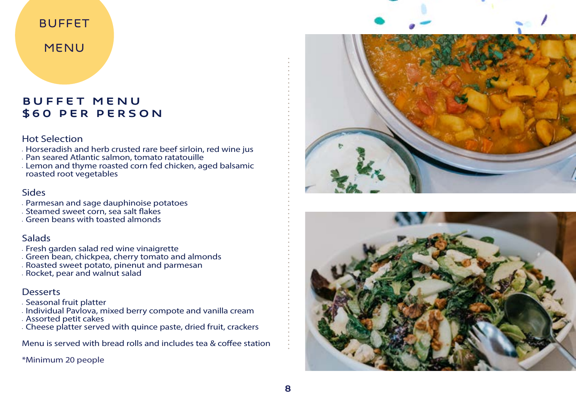# BUFFET

# MENU

# Buffet Menu \$60 per person

### Hot Selection

- Horseradish and herb crusted rare beef sirloin, red wine jus
- Pan seared Atlantic salmon, tomato ratatouille
- Lemon and thyme roasted corn fed chicken, aged balsamic roasted root vegetables

### Sides

- Parmesan and sage dauphinoise potatoes
- Steamed sweet corn, sea salt flakes
- Green beans with toasted almonds

# **Salads**

- Fresh garden salad red wine vinaigrette
- Green bean, chickpea, cherry tomato and almonds
- Roasted sweet potato, pinenut and parmesan
- Rocket, pear and walnut salad

# **Desserts**

- Seasonal fruit platter
- Individual Pavlova, mixed berry compote and vanilla cream
- Assorted petit cakes
- Cheese platter served with quince paste, dried fruit, crackers

Menu is served with bread rolls and includes tea & coffee station

\*Minimum 20 people



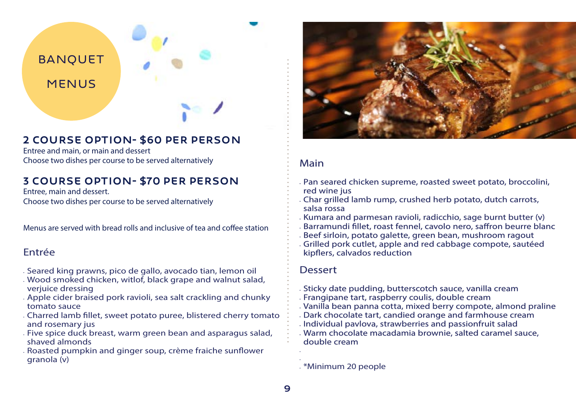

# 2 course option- \$60 per person

Entree and main, or main and dessert Choose two dishes per course to be served alternatively

# 3 course option- \$70 per person

Entree, main and dessert. Choose two dishes per course to be served alternatively

Menus are served with bread rolls and inclusive of tea and coffee station

### Entrée

- Seared king prawns, pico de gallo, avocado tian, lemon oil
- Wood smoked chicken, witlof, black grape and walnut salad, verjuice dressing
- Apple cider braised pork ravioli, sea salt crackling and chunky tomato sauce
- Charred lamb fillet, sweet potato puree, blistered cherry tomato and rosemary jus
- Five spice duck breast, warm green bean and asparagus salad, shaved almonds
- Roasted pumpkin and ginger soup, crème fraiche sunflower granola (v)



# Main

- Pan seared chicken supreme, roasted sweet potato, broccolini, red wine jus
- Char grilled lamb rump, crushed herb potato, dutch carrots, salsa rossa
- Kumara and parmesan ravioli, radicchio, sage burnt butter (v)
- Barramundi fillet, roast fennel, cavolo nero, saffron beurre blanc
- Beef sirloin, potato galette, green bean, mushroom ragout
- Grilled pork cutlet, apple and red cabbage compote, sautéed kipflers, calvados reduction

# **Dessert**

- Sticky date pudding, butterscotch sauce, vanilla cream
- Frangipane tart, raspberry coulis, double cream
- Vanilla bean panna cotta, mixed berry compote, almond praline
- Dark chocolate tart, candied orange and farmhouse cream
- Individual pavlova, strawberries and passionfruit salad
- Warm chocolate macadamia brownie, salted caramel sauce, double cream

• \*Minimum 20 people

• •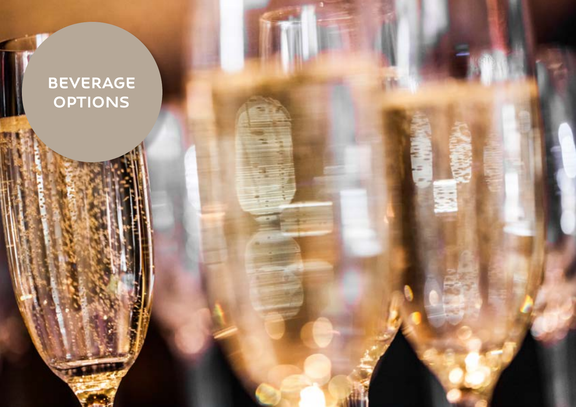# BEVERAGE **OPTIONS**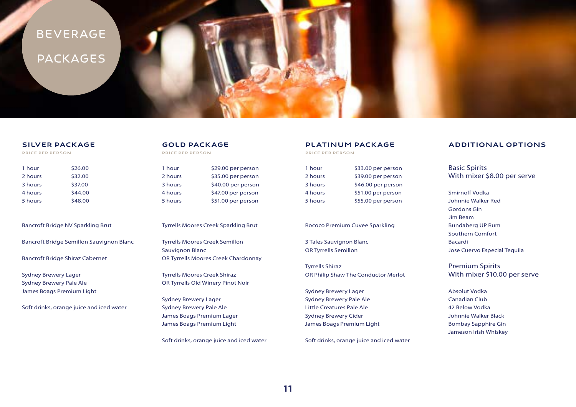# Beverage **PACKAGES**

### SILVER PACKAGE

PRICE per person

| 1 hour  | \$26.00 |
|---------|---------|
|         |         |
| 2 hours | \$32.00 |
| 3 hours | \$37.00 |
| 4 hours | \$44.00 |
| 5 hours | \$48.00 |

Bancroft Bridge NV Sparkling Brut

Bancroft Bridge Semillon Sauvignon Blanc

Bancroft Bridge Shiraz Cabernet

Sydney Brewery Lager Sydney Brewery Pale Ale James Boags Premium Light

Soft drinks, orange juice and iced water

### GOLD PACKAGE

PRICE per person

| \$29.00 per person |
|--------------------|
| \$35.00 per person |
| \$40.00 per person |
| \$47.00 per person |
| \$51.00 per person |
|                    |

Tyrrells Moores Creek Sparkling Brut

Tyrrells Moores Creek Semillon Sauvignon Blanc OR Tyrrells Moores Creek Chardonnay

Tyrrells Moores Creek Shiraz OR Tyrrells Old Winery Pinot Noir

Sydney Brewery Lager Sydney Brewery Pale Ale James Boags Premium Lager James Boags Premium Light

Soft drinks, orange juice and iced water

### PLATINUM PACKAGE

PRICE per person

| 1 hour  | \$33.00 per person |
|---------|--------------------|
| 2 hours | \$39.00 per person |
| 3 hours | \$46.00 per person |
| 4 hours | \$51.00 per person |
| 5 hours | \$55.00 per person |

### Rococo Premium Cuvee Sparkling

3 Tales Sauvignon Blanc OR Tyrrells Semillon

Tyrrells Shiraz OR Philip Shaw The Conductor Merlot

Sydney Brewery Lager Sydney Brewery Pale Ale Little Creatures Pale Ale Sydney Brewery Cider James Boags Premium Light

Soft drinks, orange juice and iced water

### ADDITIONAL OPTIONS

Basic Spirits With mixer \$8.00 per serve

Smirnoff Vodka Johnnie Walker Red Gordons Gin Jim Beam Bundaberg UP Rum Southern Comfort Bacardi Jose Cuervo Especial Tequila

Premium Spirits With mixer \$10.00 per serve

Absolut Vodka Canadian Club 42 Below Vodka Johnnie Walker Black Bombay Sapphire Gin Jameson Irish Whiskey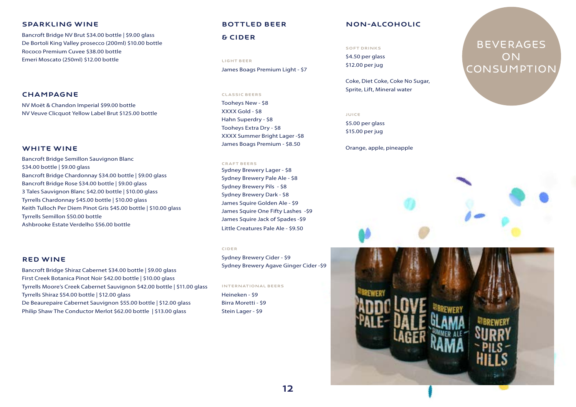### Sparkling wine

Bancroft Bridge NV Brut \$34.00 bottle | \$9.00 glass De Bortoli King Valley prosecco (200ml) \$10.00 bottle Rococo Premium Cuvee \$38.00 bottle Emeri Moscato (250ml) \$12.00 bottle

### **CHAMPAGNE**

NV Moët & Chandon Imperial \$99.00 bottle NV Veuve Clicquot Yellow Label Brut \$125.00 bottle

### WHITE WINE

Bancroft Bridge Semillon Sauvignon Blanc \$34.00 bottle | \$9.00 glass Bancroft Bridge Chardonnay \$34.00 bottle | \$9.00 glass Bancroft Bridge Rose \$34.00 bottle | \$9.00 glass 3 Tales Sauvignon Blanc \$42.00 bottle | \$10.00 glass Tyrrells Chardonnay \$45.00 bottle | \$10.00 glass Keith Tulloch Per Diem Pinot Gris \$45.00 bottle | \$10.00 glass Tyrrells Semillon \$50.00 bottle Ashbrooke Estate Verdelho \$56.00 bottle

### Red Wine

Bancroft Bridge Shiraz Cabernet \$34.00 bottle | \$9.00 glass First Creek Botanica Pinot Noir \$42.00 bottle | \$10.00 glass Tyrrells Moore's Creek Cabernet Sauvignon \$42.00 bottle | \$11.00 glass Tyrrells Shiraz \$54.00 bottle | \$12.00 glass De Beaurepaire Cabernet Sauvignon \$55.00 bottle | \$12.00 glass Philip Shaw The Conductor Merlot \$62.00 bottle | \$13.00 glass

### BOttled BEER

### & Cider

Light beer James Boags Premium Light - \$7

### Classic beers

Tooheys New - \$8 XXXX Gold - \$8 Hahn Superdry - \$8 Tooheys Extra Dry - \$8 XXXX Summer Bright Lager -\$8 James Boags Premium - \$8.50

### Craft beers

Sydney Brewery Lager - \$8 Sydney Brewery Pale Ale - \$8 Sydney Brewery Pils - \$8 Sydney Brewery Dark - \$8 James Squire Golden Ale - \$9 James Squire One Fifty Lashes -\$9 James Squire Jack of Spades -\$9 Little Creatures Pale Ale - \$9.50

### **CIDER**

Sydney Brewery Cider - \$9 Sydney Brewery Agave Ginger Cider -\$9

International beers

Heineken - \$9 Birra Moretti - \$9 Stein Lager - \$9

### non-alcoholic

### Soft drinks

\$4.50 per glass \$12.00 per jug

Coke, Diet Coke, Coke No Sugar, Sprite, Lift, Mineral water

### Juice

\$5.00 per glass \$15.00 per jug

Orange, apple, pineapple

# **BEVERAGES ON CONSUMPTION**